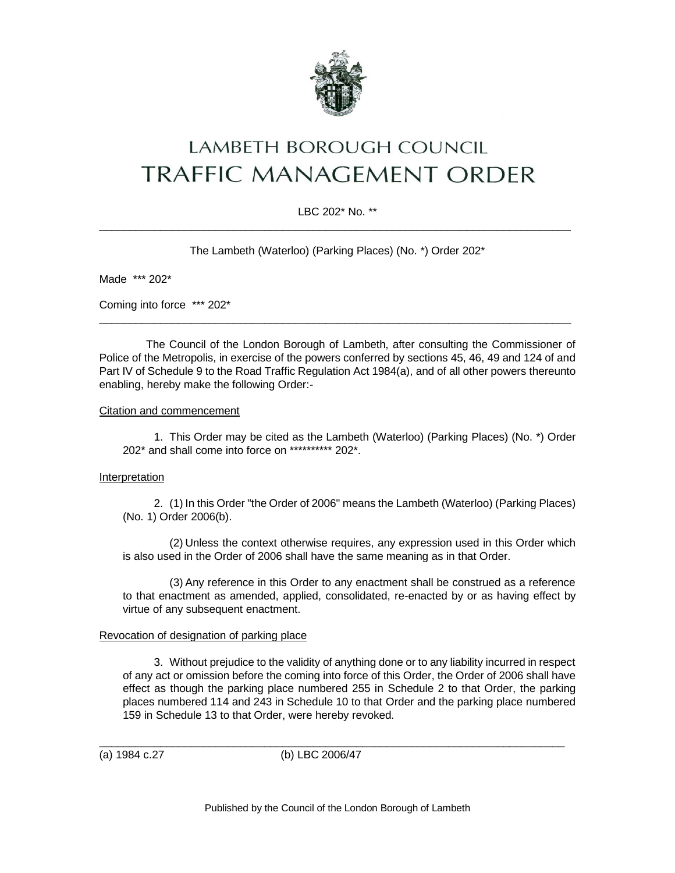

# LAMBETH BOROUGH COUNCIL **TRAFFIC MANAGEMENT ORDER**

# LBC 202\* No. \*\* \_\_\_\_\_\_\_\_\_\_\_\_\_\_\_\_\_\_\_\_\_\_\_\_\_\_\_\_\_\_\_\_\_\_\_\_\_\_\_\_\_\_\_\_\_\_\_\_\_\_\_\_\_\_\_\_\_\_\_\_\_\_\_\_\_\_\_\_\_\_\_\_\_\_\_\_\_

The Lambeth (Waterloo) (Parking Places) (No. \*) Order 202\*

Made \*\*\* 202\*

Coming into force \*\*\* 202\*

The Council of the London Borough of Lambeth, after consulting the Commissioner of Police of the Metropolis, in exercise of the powers conferred by sections 45, 46, 49 and 124 of and Part IV of Schedule 9 to the Road Traffic Regulation Act 1984(a), and of all other powers thereunto enabling, hereby make the following Order:-

 $\_$  ,  $\_$  ,  $\_$  ,  $\_$  ,  $\_$  ,  $\_$  ,  $\_$  ,  $\_$  ,  $\_$  ,  $\_$  ,  $\_$  ,  $\_$  ,  $\_$  ,  $\_$  ,  $\_$  ,  $\_$  ,  $\_$  ,  $\_$  ,  $\_$  ,  $\_$  ,  $\_$  ,  $\_$  ,  $\_$  ,  $\_$  ,  $\_$  ,  $\_$  ,  $\_$  ,  $\_$  ,  $\_$  ,  $\_$  ,  $\_$  ,  $\_$  ,  $\_$  ,  $\_$  ,  $\_$  ,  $\_$  ,  $\_$  ,

## Citation and commencement

1. This Order may be cited as the Lambeth (Waterloo) (Parking Places) (No. \*) Order 202\* and shall come into force on \*\*\*\*\*\*\*\*\*\* 202\*.

## Interpretation

2. (1) In this Order "the Order of 2006" means the Lambeth (Waterloo) (Parking Places) (No. 1) Order 2006(b).

(2) Unless the context otherwise requires, any expression used in this Order which is also used in the Order of 2006 shall have the same meaning as in that Order.

(3) Any reference in this Order to any enactment shall be construed as a reference to that enactment as amended, applied, consolidated, re-enacted by or as having effect by virtue of any subsequent enactment.

# Revocation of designation of parking place

3. Without prejudice to the validity of anything done or to any liability incurred in respect of any act or omission before the coming into force of this Order, the Order of 2006 shall have effect as though the parking place numbered 255 in Schedule 2 to that Order, the parking places numbered 114 and 243 in Schedule 10 to that Order and the parking place numbered 159 in Schedule 13 to that Order, were hereby revoked.

(a) 1984 c.27 (b) LBC 2006/47

 $\overline{\phantom{a}}$  ,  $\overline{\phantom{a}}$  ,  $\overline{\phantom{a}}$  ,  $\overline{\phantom{a}}$  ,  $\overline{\phantom{a}}$  ,  $\overline{\phantom{a}}$  ,  $\overline{\phantom{a}}$  ,  $\overline{\phantom{a}}$  ,  $\overline{\phantom{a}}$  ,  $\overline{\phantom{a}}$  ,  $\overline{\phantom{a}}$  ,  $\overline{\phantom{a}}$  ,  $\overline{\phantom{a}}$  ,  $\overline{\phantom{a}}$  ,  $\overline{\phantom{a}}$  ,  $\overline{\phantom{a}}$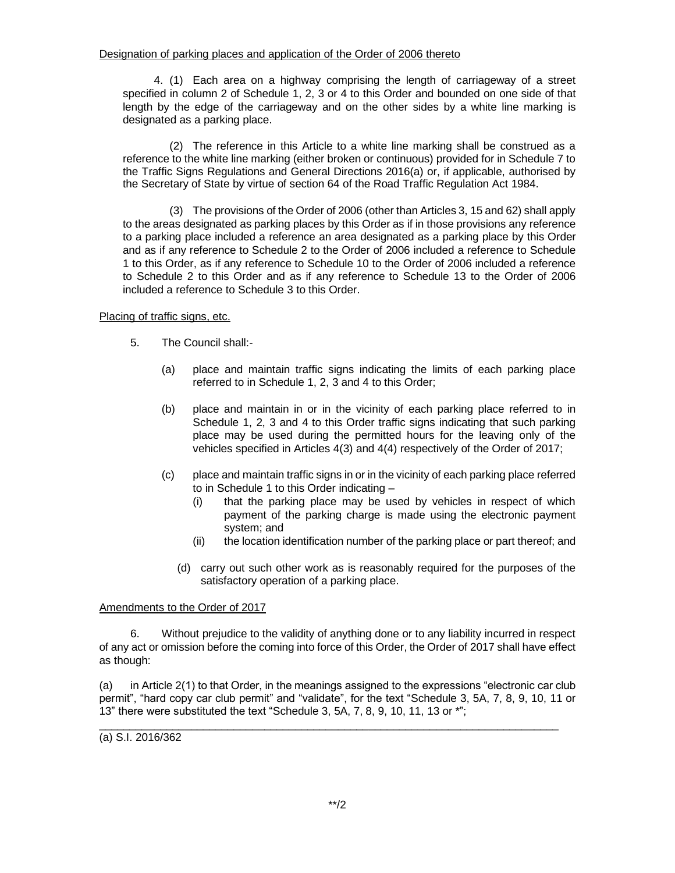4. (1) Each area on a highway comprising the length of carriageway of a street specified in column 2 of Schedule 1, 2, 3 or 4 to this Order and bounded on one side of that length by the edge of the carriageway and on the other sides by a white line marking is designated as a parking place.

(2) The reference in this Article to a white line marking shall be construed as a reference to the white line marking (either broken or continuous) provided for in Schedule 7 to the Traffic Signs Regulations and General Directions 2016(a) or, if applicable, authorised by the Secretary of State by virtue of section 64 of the Road Traffic Regulation Act 1984.

(3) The provisions of the Order of 2006 (other than Articles 3, 15 and 62) shall apply to the areas designated as parking places by this Order as if in those provisions any reference to a parking place included a reference an area designated as a parking place by this Order and as if any reference to Schedule 2 to the Order of 2006 included a reference to Schedule 1 to this Order, as if any reference to Schedule 10 to the Order of 2006 included a reference to Schedule 2 to this Order and as if any reference to Schedule 13 to the Order of 2006 included a reference to Schedule 3 to this Order.

# Placing of traffic signs, etc.

- 5. The Council shall:-
	- (a) place and maintain traffic signs indicating the limits of each parking place referred to in Schedule 1, 2, 3 and 4 to this Order;
	- (b) place and maintain in or in the vicinity of each parking place referred to in Schedule 1, 2, 3 and 4 to this Order traffic signs indicating that such parking place may be used during the permitted hours for the leaving only of the vehicles specified in Articles 4(3) and 4(4) respectively of the Order of 2017;
	- (c) place and maintain traffic signs in or in the vicinity of each parking place referred to in Schedule 1 to this Order indicating –
		- (i) that the parking place may be used by vehicles in respect of which payment of the parking charge is made using the electronic payment system; and
		- (ii) the location identification number of the parking place or part thereof; and
		- (d) carry out such other work as is reasonably required for the purposes of the satisfactory operation of a parking place.

# Amendments to the Order of 2017

6. Without prejudice to the validity of anything done or to any liability incurred in respect of any act or omission before the coming into force of this Order, the Order of 2017 shall have effect as though:

(a) in Article 2(1) to that Order, in the meanings assigned to the expressions "electronic car club permit", "hard copy car club permit" and "validate", for the text "Schedule 3, 5A, 7, 8, 9, 10, 11 or 13" there were substituted the text "Schedule 3, 5A, 7, 8, 9, 10, 11, 13 or \*";

\_\_\_\_\_\_\_\_\_\_\_\_\_\_\_\_\_\_\_\_\_\_\_\_\_\_\_\_\_\_\_\_\_\_\_\_\_\_\_\_\_\_\_\_\_\_\_\_\_\_\_\_\_\_\_\_\_\_\_\_\_\_\_\_\_\_\_\_\_\_\_\_\_\_\_

(a) S.I. 2016/362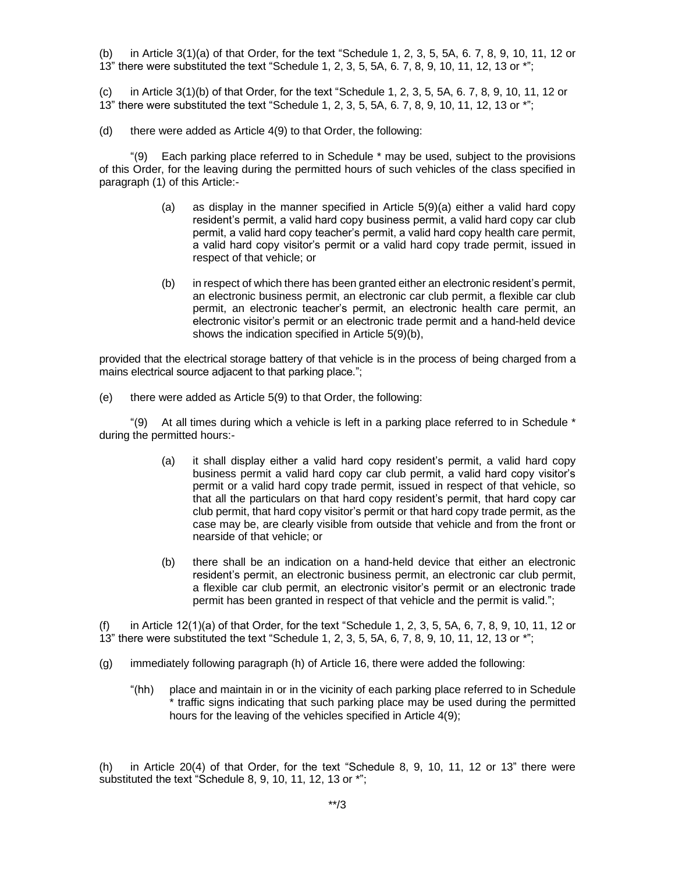(b) in Article 3(1)(a) of that Order, for the text "Schedule 1, 2, 3, 5, 5A, 6. 7, 8, 9, 10, 11, 12 or 13" there were substituted the text "Schedule 1, 2, 3, 5, 5A, 6. 7, 8, 9, 10, 11, 12, 13 or \*";

(c) in Article 3(1)(b) of that Order, for the text "Schedule 1, 2, 3, 5, 5A, 6. 7, 8, 9, 10, 11, 12 or 13" there were substituted the text "Schedule 1, 2, 3, 5, 5A, 6. 7, 8, 9, 10, 11, 12, 13 or \*";

(d) there were added as Article 4(9) to that Order, the following:

"(9) Each parking place referred to in Schedule \* may be used, subject to the provisions of this Order, for the leaving during the permitted hours of such vehicles of the class specified in paragraph (1) of this Article:-

- (a) as display in the manner specified in Article 5(9)(a) either a valid hard copy resident's permit, a valid hard copy business permit, a valid hard copy car club permit, a valid hard copy teacher's permit, a valid hard copy health care permit, a valid hard copy visitor's permit or a valid hard copy trade permit, issued in respect of that vehicle; or
- (b) in respect of which there has been granted either an electronic resident's permit, an electronic business permit, an electronic car club permit, a flexible car club permit, an electronic teacher's permit, an electronic health care permit, an electronic visitor's permit or an electronic trade permit and a hand-held device shows the indication specified in Article 5(9)(b),

provided that the electrical storage battery of that vehicle is in the process of being charged from a mains electrical source adjacent to that parking place.";

(e) there were added as Article 5(9) to that Order, the following:

"(9) At all times during which a vehicle is left in a parking place referred to in Schedule \* during the permitted hours:-

- (a) it shall display either a valid hard copy resident's permit, a valid hard copy business permit a valid hard copy car club permit, a valid hard copy visitor's permit or a valid hard copy trade permit, issued in respect of that vehicle, so that all the particulars on that hard copy resident's permit, that hard copy car club permit, that hard copy visitor's permit or that hard copy trade permit, as the case may be, are clearly visible from outside that vehicle and from the front or nearside of that vehicle; or
- (b) there shall be an indication on a hand-held device that either an electronic resident's permit, an electronic business permit, an electronic car club permit, a flexible car club permit, an electronic visitor's permit or an electronic trade permit has been granted in respect of that vehicle and the permit is valid.";

(f) in Article 12(1)(a) of that Order, for the text "Schedule 1, 2, 3, 5, 5A, 6, 7, 8, 9, 10, 11, 12 or 13" there were substituted the text "Schedule 1, 2, 3, 5, 5A, 6, 7, 8, 9, 10, 11, 12, 13 or \*";

- (g) immediately following paragraph (h) of Article 16, there were added the following:
	- "(hh) place and maintain in or in the vicinity of each parking place referred to in Schedule \* traffic signs indicating that such parking place may be used during the permitted hours for the leaving of the vehicles specified in Article 4(9);

(h) in Article 20(4) of that Order, for the text "Schedule 8, 9, 10, 11, 12 or 13" there were substituted the text "Schedule 8, 9, 10, 11, 12, 13 or \*";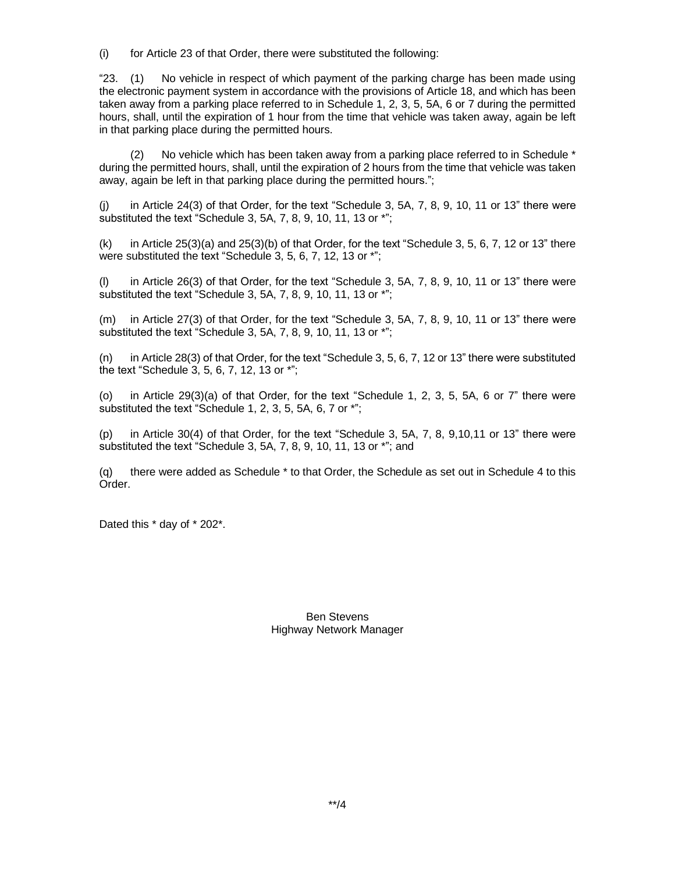(i) for Article 23 of that Order, there were substituted the following:

"23. (1) No vehicle in respect of which payment of the parking charge has been made using the electronic payment system in accordance with the provisions of Article 18, and which has been taken away from a parking place referred to in Schedule 1, 2, 3, 5, 5A, 6 or 7 during the permitted hours, shall, until the expiration of 1 hour from the time that vehicle was taken away, again be left in that parking place during the permitted hours.

(2) No vehicle which has been taken away from a parking place referred to in Schedule \* during the permitted hours, shall, until the expiration of 2 hours from the time that vehicle was taken away, again be left in that parking place during the permitted hours.";

(j) in Article 24(3) of that Order, for the text "Schedule 3, 5A, 7, 8, 9, 10, 11 or 13" there were substituted the text "Schedule 3, 5A, 7, 8, 9, 10, 11, 13 or \*";

 $(k)$  in Article 25(3)(a) and 25(3)(b) of that Order, for the text "Schedule 3, 5, 6, 7, 12 or 13" there were substituted the text "Schedule 3, 5, 6, 7, 12, 13 or \*";

(l) in Article 26(3) of that Order, for the text "Schedule 3, 5A, 7, 8, 9, 10, 11 or 13" there were substituted the text "Schedule 3, 5A, 7, 8, 9, 10, 11, 13 or \*";

(m) in Article 27(3) of that Order, for the text "Schedule 3, 5A, 7, 8, 9, 10, 11 or 13" there were substituted the text "Schedule 3, 5A, 7, 8, 9, 10, 11, 13 or \*";

(n) in Article 28(3) of that Order, for the text "Schedule 3, 5, 6, 7, 12 or 13" there were substituted the text "Schedule 3, 5, 6, 7, 12, 13 or \*";

(o) in Article 29(3)(a) of that Order, for the text "Schedule 1, 2, 3, 5, 5A, 6 or 7" there were substituted the text "Schedule 1, 2, 3, 5, 5A, 6, 7 or \*";

(p) in Article 30(4) of that Order, for the text "Schedule 3, 5A, 7, 8, 9,10,11 or 13" there were substituted the text "Schedule 3, 5A, 7, 8, 9, 10, 11, 13 or \*"; and

(q) there were added as Schedule \* to that Order, the Schedule as set out in Schedule 4 to this Order.

Dated this \* day of \* 202\*.

Ben Stevens Highway Network Manager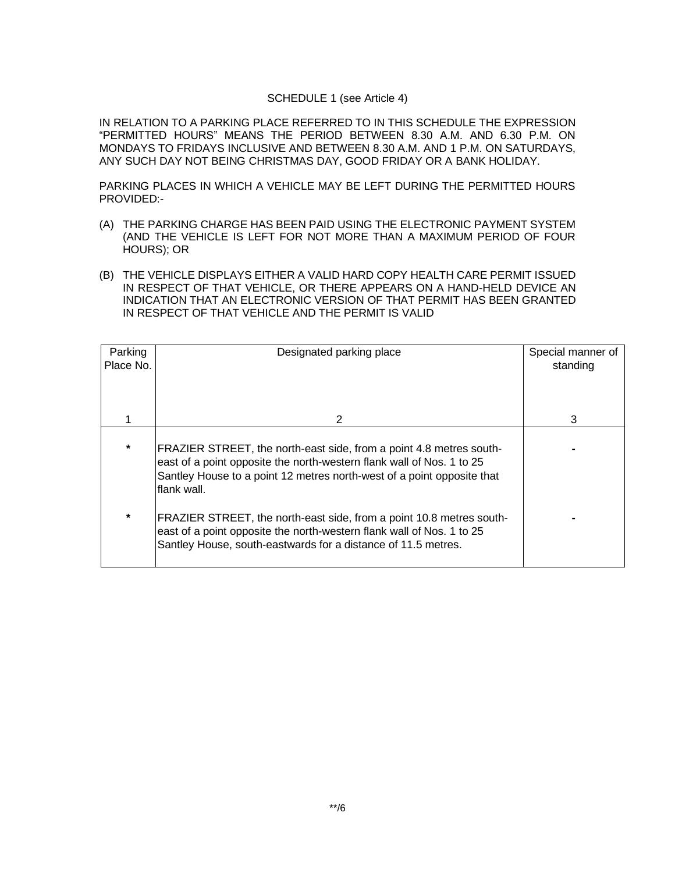## SCHEDULE 1 (see Article 4)

IN RELATION TO A PARKING PLACE REFERRED TO IN THIS SCHEDULE THE EXPRESSION "PERMITTED HOURS" MEANS THE PERIOD BETWEEN 8.30 A.M. AND 6.30 P.M. ON MONDAYS TO FRIDAYS INCLUSIVE AND BETWEEN 8.30 A.M. AND 1 P.M. ON SATURDAYS, ANY SUCH DAY NOT BEING CHRISTMAS DAY, GOOD FRIDAY OR A BANK HOLIDAY.

PARKING PLACES IN WHICH A VEHICLE MAY BE LEFT DURING THE PERMITTED HOURS PROVIDED:-

- (A) THE PARKING CHARGE HAS BEEN PAID USING THE ELECTRONIC PAYMENT SYSTEM (AND THE VEHICLE IS LEFT FOR NOT MORE THAN A MAXIMUM PERIOD OF FOUR HOURS); OR
- (B) THE VEHICLE DISPLAYS EITHER A VALID HARD COPY HEALTH CARE PERMIT ISSUED IN RESPECT OF THAT VEHICLE, OR THERE APPEARS ON A HAND-HELD DEVICE AN INDICATION THAT AN ELECTRONIC VERSION OF THAT PERMIT HAS BEEN GRANTED IN RESPECT OF THAT VEHICLE AND THE PERMIT IS VALID

| Parking<br>Place No. | Designated parking place                                                                                                                                                                                                              | Special manner of<br>standing |
|----------------------|---------------------------------------------------------------------------------------------------------------------------------------------------------------------------------------------------------------------------------------|-------------------------------|
|                      | 2                                                                                                                                                                                                                                     | 3                             |
| $\star$              | FRAZIER STREET, the north-east side, from a point 4.8 metres south-<br>east of a point opposite the north-western flank wall of Nos. 1 to 25<br>Santley House to a point 12 metres north-west of a point opposite that<br>flank wall. |                               |
| $\ast$               | FRAZIER STREET, the north-east side, from a point 10.8 metres south-<br>east of a point opposite the north-western flank wall of Nos. 1 to 25<br>Santley House, south-eastwards for a distance of 11.5 metres.                        |                               |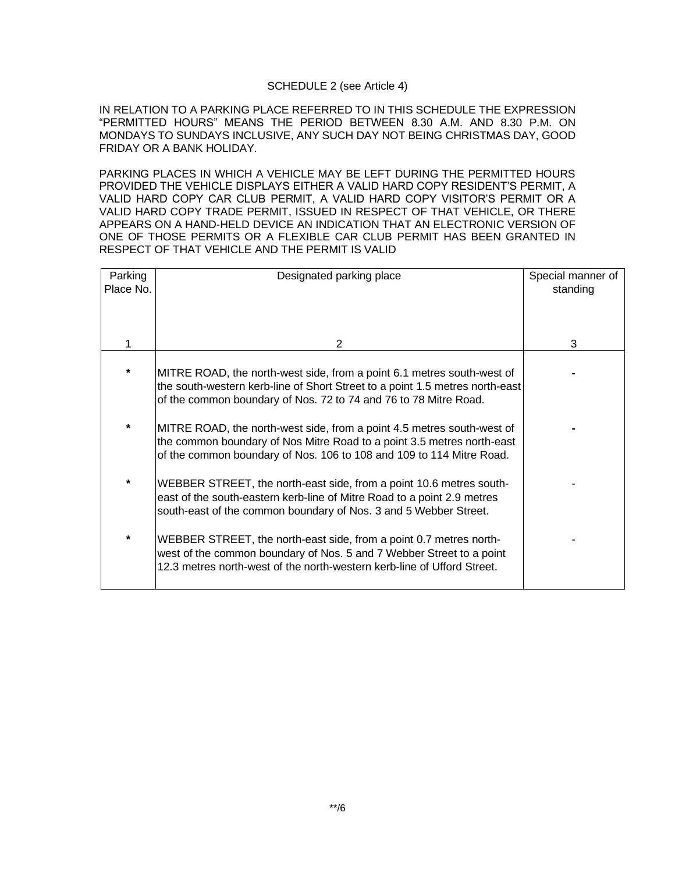## SCHEDULE 2 (see Article 4)

IN RELATION TO A PARKING PLACE REFERRED TO IN THIS SCHEDULE THE EXPRESSION "PERMITTED HOURS" MEANS THE PERIOD BETWEEN 8.30 A.M. AND 8.30 P.M. ON MONDAYS TO SUNDAYS INCLUSIVE, ANY SUCH DAY NOT BEING CHRISTMAS DAY, GOOD FRIDAY OR A BANK HOLIDAY.

PARKING PLACES IN WHICH A VEHICLE MAY BE LEFT DURING THE PERMITTED HOURS PROVIDED THE VEHICLE DISPLAYS EITHER A VALID HARD COPY RESIDENT'S PERMIT, A VALID HARD COPY CAR CLUB PERMIT, A VALID HARD COPY VISITOR'S PERMIT OR A VALID HARD COPY TRADE PERMIT, ISSUED IN RESPECT OF THAT VEHICLE, OR THERE APPEARS ON A HAND-HELD DEVICE AN INDICATION THAT AN ELECTRONIC VERSION OF ONE OF THOSE PERMITS OR A FLEXIBLE CAR CLUB PERMIT HAS BEEN GRANTED IN RESPECT OF THAT VEHICLE AND THE PERMIT IS VALID

| Parking<br>Place No. | Designated parking place                                                                                                                                                                                                   | Special manner of<br>standing |
|----------------------|----------------------------------------------------------------------------------------------------------------------------------------------------------------------------------------------------------------------------|-------------------------------|
|                      |                                                                                                                                                                                                                            |                               |
|                      | 2                                                                                                                                                                                                                          | 3                             |
|                      | MITRE ROAD, the north-west side, from a point 6.1 metres south-west of<br>the south-western kerb-line of Short Street to a point 1.5 metres north-east<br>of the common boundary of Nos. 72 to 74 and 76 to 78 Mitre Road. |                               |
| $\star$              | MITRE ROAD, the north-west side, from a point 4.5 metres south-west of<br>the common boundary of Nos Mitre Road to a point 3.5 metres north-east<br>of the common boundary of Nos. 106 to 108 and 109 to 114 Mitre Road.   |                               |
|                      | WEBBER STREET, the north-east side, from a point 10.6 metres south-<br>east of the south-eastern kerb-line of Mitre Road to a point 2.9 metres<br>south-east of the common boundary of Nos. 3 and 5 Webber Street.         |                               |
| *                    | WEBBER STREET, the north-east side, from a point 0.7 metres north-<br>west of the common boundary of Nos. 5 and 7 Webber Street to a point<br>12.3 metres north-west of the north-western kerb-line of Ufford Street.      |                               |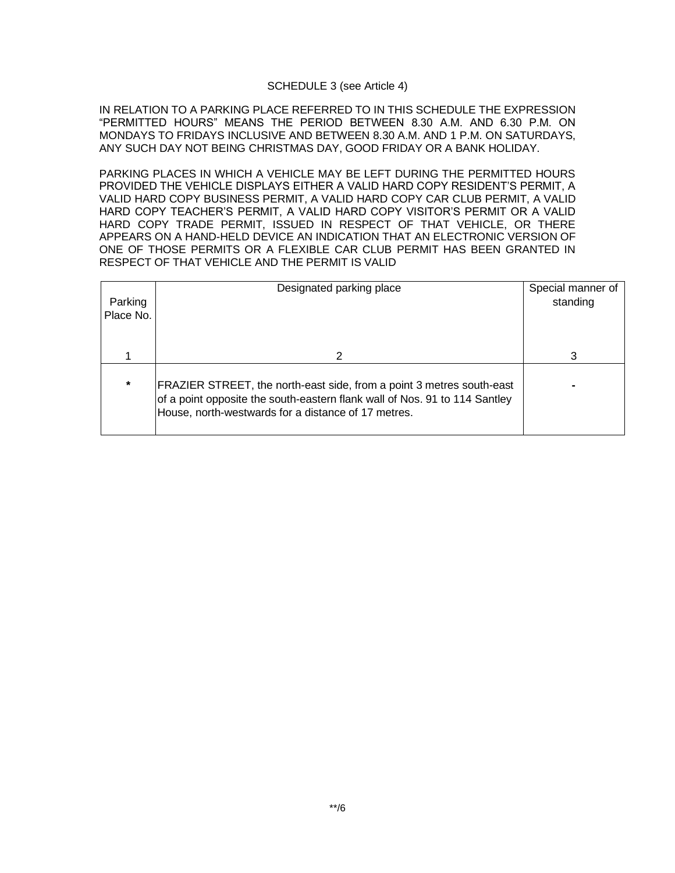#### SCHEDULE 3 (see Article 4)

IN RELATION TO A PARKING PLACE REFERRED TO IN THIS SCHEDULE THE EXPRESSION "PERMITTED HOURS" MEANS THE PERIOD BETWEEN 8.30 A.M. AND 6.30 P.M. ON MONDAYS TO FRIDAYS INCLUSIVE AND BETWEEN 8.30 A.M. AND 1 P.M. ON SATURDAYS, ANY SUCH DAY NOT BEING CHRISTMAS DAY, GOOD FRIDAY OR A BANK HOLIDAY.

PARKING PLACES IN WHICH A VEHICLE MAY BE LEFT DURING THE PERMITTED HOURS PROVIDED THE VEHICLE DISPLAYS EITHER A VALID HARD COPY RESIDENT'S PERMIT, A VALID HARD COPY BUSINESS PERMIT, A VALID HARD COPY CAR CLUB PERMIT, A VALID HARD COPY TEACHER'S PERMIT, A VALID HARD COPY VISITOR'S PERMIT OR A VALID HARD COPY TRADE PERMIT, ISSUED IN RESPECT OF THAT VEHICLE, OR THERE APPEARS ON A HAND-HELD DEVICE AN INDICATION THAT AN ELECTRONIC VERSION OF ONE OF THOSE PERMITS OR A FLEXIBLE CAR CLUB PERMIT HAS BEEN GRANTED IN RESPECT OF THAT VEHICLE AND THE PERMIT IS VALID

| Parking<br>Place No. | Designated parking place                                                                                                                                                                                   | Special manner of<br>standing |
|----------------------|------------------------------------------------------------------------------------------------------------------------------------------------------------------------------------------------------------|-------------------------------|
|                      | 2                                                                                                                                                                                                          | વ                             |
| $\star$              | FRAZIER STREET, the north-east side, from a point 3 metres south-east<br>of a point opposite the south-eastern flank wall of Nos. 91 to 114 Santley<br>House, north-westwards for a distance of 17 metres. |                               |